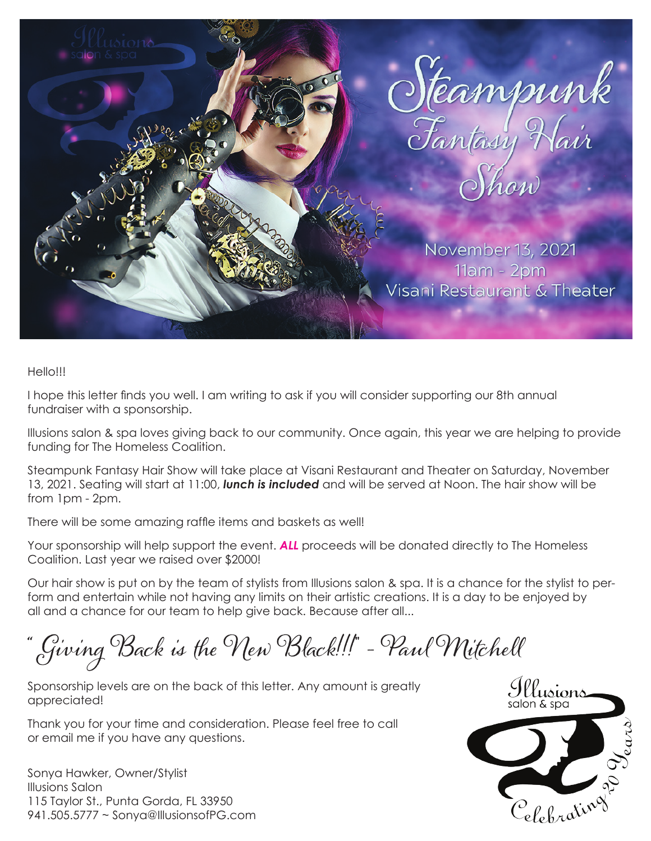

## Hello!!!

I hope this letter finds you well. I am writing to ask if you will consider supporting our 8th annual fundraiser with a sponsorship.

Illusions salon & spa loves giving back to our community. Once again, this year we are helping to provide funding for The Homeless Coalition.

Steampunk Fantasy Hair Show will take place at Visani Restaurant and Theater on Saturday, November 13, 2021. Seating will start at 11:00, *lunch is included* and will be served at Noon. The hair show will be from 1pm - 2pm.

There will be some amazing raffle items and baskets as well!

Your sponsorship will help support the event. *ALL* proceeds will be donated directly to The Homeless Coalition. Last year we raised over \$2000!

Our hair show is put on by the team of stylists from Illusions salon & spa. It is a chance for the stylist to perform and entertain while not having any limits on their artistic creations. It is a day to be enjoyed by all and a chance for our team to help give back. Because after all...

**"** Giving Back is the New Black!!!**"** - Paul Mitchell

Sponsorship levels are on the back of this letter. Any amount is greatly appreciated!

Thank you for your time and consideration. Please feel free to call or email me if you have any questions.

Sonya Hawker, Owner/Stylist Illusions Salon 115 Taylor St., Punta Gorda, FL 33950 941.505.5777 ~ Sonya@IllusionsofPG.com